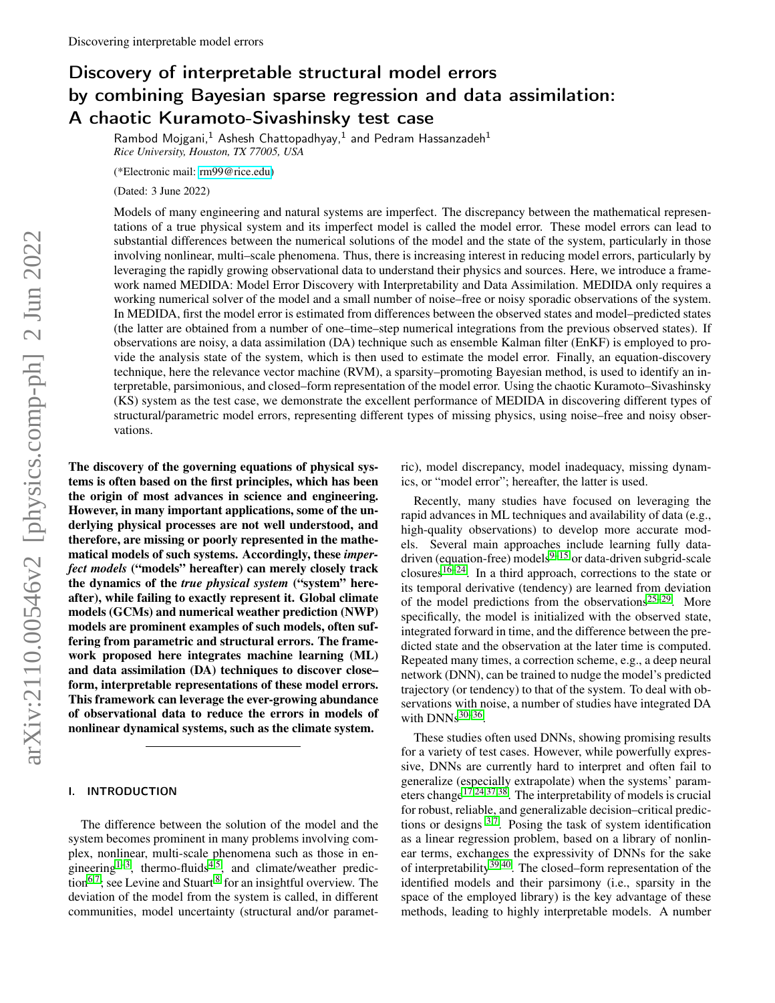# Discovery of interpretable structural model errors by combining Bayesian sparse regression and data assimilation: A chaotic Kuramoto-Sivashinsky test case

Rambod Mojgani, $^1$  Ashesh Chattopadhyay, $^1$  and Pedram Hassanzadeh $^1$ *Rice University, Houston, TX 77005, USA*

(\*Electronic mail: [rm99@rice.edu\)](mailto:rm99@rice.edu)

(Dated: 3 June 2022)

Models of many engineering and natural systems are imperfect. The discrepancy between the mathematical representations of a true physical system and its imperfect model is called the model error. These model errors can lead to substantial differences between the numerical solutions of the model and the state of the system, particularly in those involving nonlinear, multi–scale phenomena. Thus, there is increasing interest in reducing model errors, particularly by leveraging the rapidly growing observational data to understand their physics and sources. Here, we introduce a framework named MEDIDA: Model Error Discovery with Interpretability and Data Assimilation. MEDIDA only requires a working numerical solver of the model and a small number of noise–free or noisy sporadic observations of the system. In MEDIDA, first the model error is estimated from differences between the observed states and model–predicted states (the latter are obtained from a number of one–time–step numerical integrations from the previous observed states). If observations are noisy, a data assimilation (DA) technique such as ensemble Kalman filter (EnKF) is employed to provide the analysis state of the system, which is then used to estimate the model error. Finally, an equation-discovery technique, here the relevance vector machine (RVM), a sparsity–promoting Bayesian method, is used to identify an interpretable, parsimonious, and closed–form representation of the model error. Using the chaotic Kuramoto–Sivashinsky (KS) system as the test case, we demonstrate the excellent performance of MEDIDA in discovering different types of structural/parametric model errors, representing different types of missing physics, using noise–free and noisy observations.

The discovery of the governing equations of physical systems is often based on the first principles, which has been the origin of most advances in science and engineering. However, in many important applications, some of the underlying physical processes are not well understood, and therefore, are missing or poorly represented in the mathematical models of such systems. Accordingly, these *imperfect models* ("models" hereafter) can merely closely track the dynamics of the *true physical system* ("system" hereafter), while failing to exactly represent it. Global climate models (GCMs) and numerical weather prediction (NWP) models are prominent examples of such models, often suffering from parametric and structural errors. The framework proposed here integrates machine learning (ML) and data assimilation (DA) techniques to discover close– form, interpretable representations of these model errors. This framework can leverage the ever-growing abundance of observational data to reduce the errors in models of nonlinear dynamical systems, such as the climate system.

#### I. INTRODUCTION

The difference between the solution of the model and the system becomes prominent in many problems involving complex, nonlinear, multi-scale phenomena such as those in en-gineering<sup>[1](#page-6-0)[–3](#page-6-1)</sup>, thermo-fluids<sup>[4,](#page-6-2)[5](#page-6-3)</sup>, and climate/weather predic-tion<sup>[6](#page-6-4)[,7](#page-6-5)</sup>; see Levine and Stuart  $8$  for an insightful overview. The deviation of the model from the system is called, in different communities, model uncertainty (structural and/or parametric), model discrepancy, model inadequacy, missing dynamics, or "model error"; hereafter, the latter is used.

Recently, many studies have focused on leveraging the rapid advances in ML techniques and availability of data (e.g., high-quality observations) to develop more accurate models. Several main approaches include learning fully datadriven (equation-free) models $9-15$  $9-15$  or data-driven subgrid-scale closures<sup>[16–](#page-6-9)[24](#page-6-10)</sup>. In a third approach, corrections to the state or its temporal derivative (tendency) are learned from deviation of the model predictions from the observations<sup>[25–](#page-6-11)[29](#page-6-12)</sup>. More specifically, the model is initialized with the observed state, integrated forward in time, and the difference between the predicted state and the observation at the later time is computed. Repeated many times, a correction scheme, e.g., a deep neural network (DNN), can be trained to nudge the model's predicted trajectory (or tendency) to that of the system. To deal with observations with noise, a number of studies have integrated DA with  $DNNs^{30-36}$  $DNNs^{30-36}$  $DNNs^{30-36}$ .

These studies often used DNNs, showing promising results for a variety of test cases. However, while powerfully expressive, DNNs are currently hard to interpret and often fail to generalize (especially extrapolate) when the systems' param-eters change<sup>[17](#page-6-14)[,24,](#page-6-10)[37,](#page-7-1)[38](#page-7-2)</sup>. The interpretability of models is crucial for robust, reliable, and generalizable decision–critical predictions or designs  $3.7$  $3.7$ . Posing the task of system identification as a linear regression problem, based on a library of nonlinear terms, exchanges the expressivity of DNNs for the sake of interpretability<sup>[39](#page-7-3)[,40](#page-7-4)</sup>. The closed–form representation of the identified models and their parsimony (i.e., sparsity in the space of the employed library) is the key advantage of these methods, leading to highly interpretable models. A number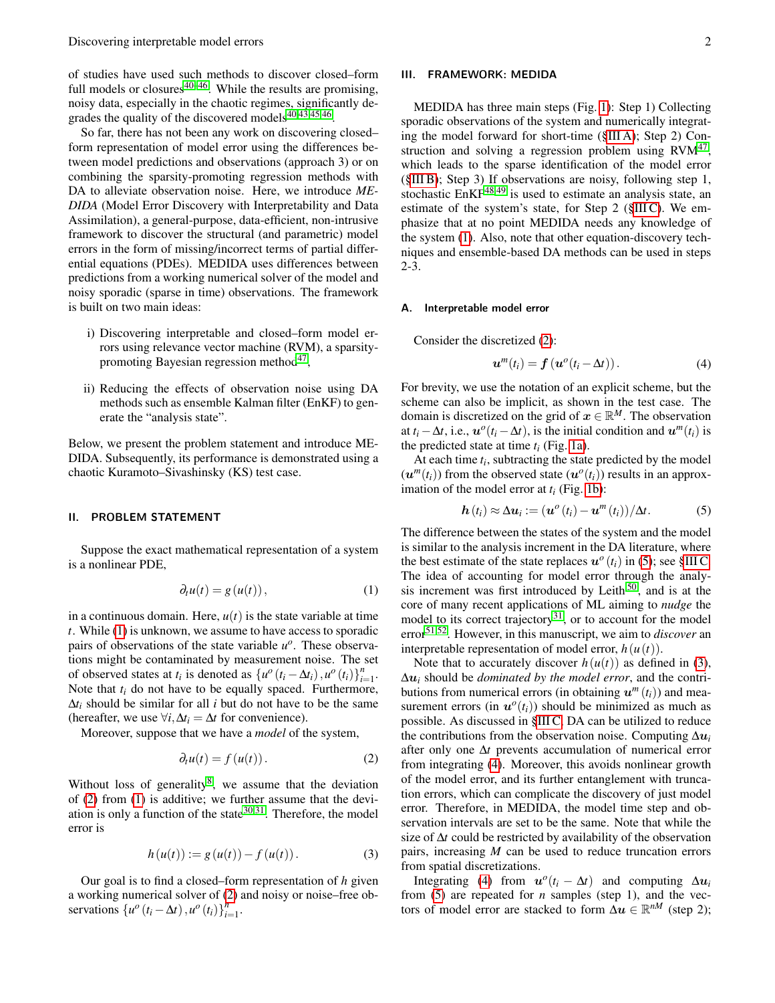of studies have used such methods to discover closed–form full models or closures<sup>[40–](#page-7-4)[46](#page-7-5)</sup>. While the results are promising, noisy data, especially in the chaotic regimes, significantly degrades the quality of the discovered models $40,43,45,46$  $40,43,45,46$  $40,43,45,46$  $40,43,45,46$ .

So far, there has not been any work on discovering closed– form representation of model error using the differences between model predictions and observations (approach 3) or on combining the sparsity-promoting regression methods with DA to alleviate observation noise. Here, we introduce *ME-DIDA* (Model Error Discovery with Interpretability and Data Assimilation), a general-purpose, data-efficient, non-intrusive framework to discover the structural (and parametric) model errors in the form of missing/incorrect terms of partial differential equations (PDEs). MEDIDA uses differences between predictions from a working numerical solver of the model and noisy sporadic (sparse in time) observations. The framework is built on two main ideas:

- i) Discovering interpretable and closed–form model errors using relevance vector machine (RVM), a sparsity-promoting Bayesian regression method<sup>[47](#page-7-8)</sup>,
- ii) Reducing the effects of observation noise using DA methods such as ensemble Kalman filter (EnKF) to generate the "analysis state".

Below, we present the problem statement and introduce ME-DIDA. Subsequently, its performance is demonstrated using a chaotic Kuramoto–Sivashinsky (KS) test case.

#### II. PROBLEM STATEMENT

Suppose the exact mathematical representation of a system is a nonlinear PDE,

<span id="page-1-0"></span>
$$
\partial_t u(t) = g(u(t)), \qquad (1)
$$

in a continuous domain. Here,  $u(t)$  is the state variable at time *t*. While [\(1\)](#page-1-0) is unknown, we assume to have access to sporadic pairs of observations of the state variable  $u^o$ . These observations might be contaminated by measurement noise. The set of observed states at  $t_i$  is denoted as  $\{u^o(t_i - \Delta t_i), u^o(t_i)\}_{i=1}^n$ . Note that *t<sup>i</sup>* do not have to be equally spaced. Furthermore,  $\Delta t_i$  should be similar for all *i* but do not have to be the same (hereafter, we use  $\forall i, \Delta t_i = \Delta t$  for convenience).

Moreover, suppose that we have a *model* of the system,

<span id="page-1-1"></span>
$$
\partial_t u(t) = f(u(t)). \tag{2}
$$

Without loss of generality<sup>[8](#page-6-6)</sup>, we assume that the deviation of [\(2\)](#page-1-1) from [\(1\)](#page-1-0) is additive; we further assume that the deviation is only a function of the state  $30,31$  $30,31$ . Therefore, the model error is

<span id="page-1-4"></span>
$$
h(u(t)) := g(u(t)) - f(u(t)).
$$
 (3)

Our goal is to find a closed–form representation of *h* given a working numerical solver of [\(2\)](#page-1-1) and noisy or noise–free observations  $\{u^o(t_i - \Delta t), u^o(t_i)\}_{i=1}^n$ .

## III. FRAMEWORK: MEDIDA

MEDIDA has three main steps (Fig. [1\)](#page-3-0): Step 1) Collecting sporadic observations of the system and numerically integrating the model forward for short-time ([§III A\)](#page-1-2); Step 2) Con-struction and solving a regression problem using RVM<sup>[47](#page-7-8)</sup>, which leads to the sparse identification of the model error ([§III B\)](#page-2-0); Step 3) If observations are noisy, following step 1, stochastic  $EnKF^{48,49}$  $EnKF^{48,49}$  $EnKF^{48,49}$  $EnKF^{48,49}$  is used to estimate an analysis state, an estimate of the system's state, for Step 2 ([§III C\)](#page-2-1). We emphasize that at no point MEDIDA needs any knowledge of the system [\(1\)](#page-1-0). Also, note that other equation-discovery techniques and ensemble-based DA methods can be used in steps 2-3.

#### <span id="page-1-2"></span>A. Interpretable model error

Consider the discretized [\(2\)](#page-1-1):

<span id="page-1-5"></span>
$$
\boldsymbol{u}^m(t_i) = \boldsymbol{f}(\boldsymbol{u}^o(t_i - \Delta t)). \tag{4}
$$

For brevity, we use the notation of an explicit scheme, but the scheme can also be implicit, as shown in the test case. The domain is discretized on the grid of  $x \in \mathbb{R}^M$ . The observation at *t*<sub>*i*</sub> −  $\Delta t$ , i.e.,  $\mathbf{u}^o(t_i - \Delta t)$ , is the initial condition and  $\mathbf{u}^m(t_i)$  is the predicted state at time *t<sup>i</sup>* (Fig. [1a\)](#page-3-1).

At each time *t<sup>i</sup>* , subtracting the state predicted by the model  $(u^m(t_i))$  from the observed state  $(u^o(t_i))$  results in an approximation of the model error at *t<sup>i</sup>* (Fig. [1b\)](#page-3-2):

<span id="page-1-3"></span>
$$
\boldsymbol{h}(t_i) \approx \Delta \boldsymbol{u}_i := (\boldsymbol{u}^{\scriptscriptstyle O}(t_i) - \boldsymbol{u}^{\scriptscriptstyle m}(t_i))/\Delta t. \tag{5}
$$

The difference between the states of the system and the model is similar to the analysis increment in the DA literature, where the best estimate of the state replaces  $u^o(t_i)$  in [\(5\)](#page-1-3); see [§III C.](#page-2-1) The idea of accounting for model error through the analy-sis increment was first introduced by Leith<sup>[50](#page-7-11)</sup>, and is at the core of many recent applications of ML aiming to *nudge* the model to its correct trajectory $31$ , or to account for the model error[51,](#page-7-12)[52](#page-7-13). However, in this manuscript, we aim to *discover* an interpretable representation of model error,  $h(u(t))$ .

Note that to accurately discover  $h(u(t))$  as defined in [\(3\)](#page-1-4), ∆u*<sup>i</sup>* should be *dominated by the model error*, and the contributions from numerical errors (in obtaining  $u^m(t_i)$ ) and measurement errors (in  $u^o(t_i)$ ) should be minimized as much as possible. As discussed in [§III C,](#page-2-1) DA can be utilized to reduce the contributions from the observation noise. Computing ∆u*<sup>i</sup>* after only one ∆*t* prevents accumulation of numerical error from integrating [\(4\)](#page-1-5). Moreover, this avoids nonlinear growth of the model error, and its further entanglement with truncation errors, which can complicate the discovery of just model error. Therefore, in MEDIDA, the model time step and observation intervals are set to be the same. Note that while the size of ∆*t* could be restricted by availability of the observation pairs, increasing *M* can be used to reduce truncation errors from spatial discretizations.

Integrating [\(4\)](#page-1-5) from  $u^o(t_i - \Delta t)$  and computing  $\Delta u_i$ from [\(5\)](#page-1-3) are repeated for *n* samples (step 1), and the vectors of model error are stacked to form  $\Delta u \in \mathbb{R}^{nM}$  (step 2);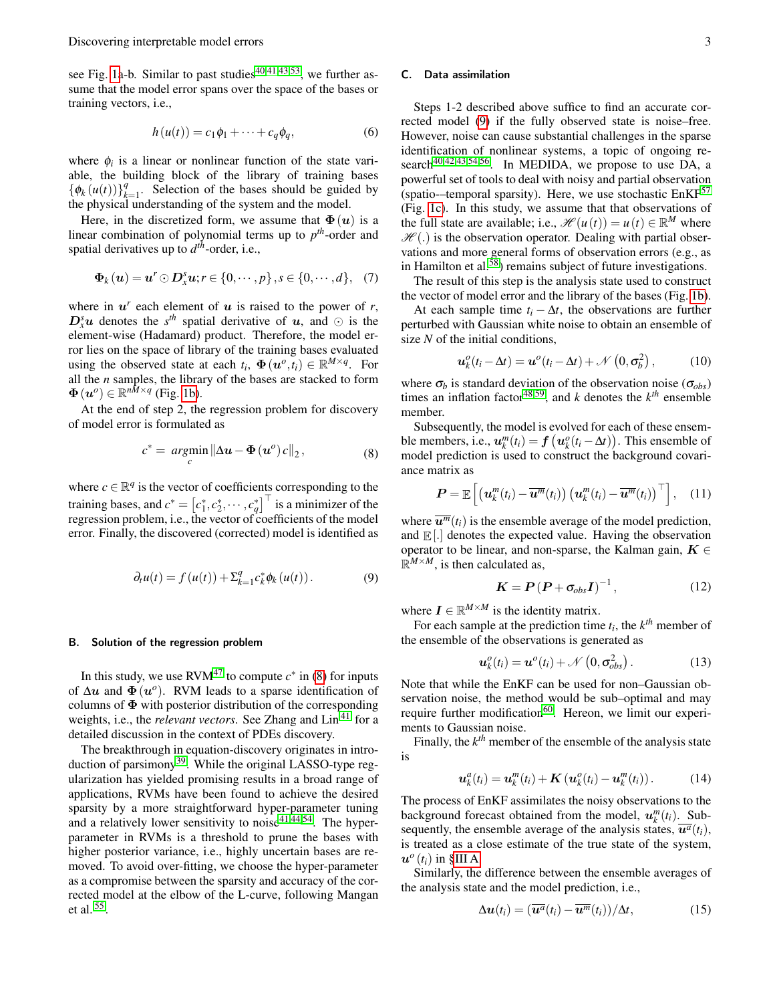see Fig. [1a](#page-3-0)-b. Similar to past studies<sup>[40](#page-7-4)[,41,](#page-7-14)[43,](#page-7-6)[53](#page-7-15)</sup>, we further assume that the model error spans over the space of the bases or training vectors, i.e.,

$$
h(u(t)) = c_1\phi_1 + \dots + c_q\phi_q, \qquad (6)
$$

where  $\phi_i$  is a linear or nonlinear function of the state variable, the building block of the library of training bases  $\{\phi_k(u(t))\}_{k=0}^{q}$  $\frac{q}{k-1}$ . Selection of the bases should be guided by the physical understanding of the system and the model.

Here, in the discretized form, we assume that  $\Phi(u)$  is a linear combination of polynomial terms up to *p th*-order and spatial derivatives up to *d th*-order, i.e.,

<span id="page-2-4"></span>
$$
\mathbf{\Phi}_k(\boldsymbol{u}) = \boldsymbol{u}^r \odot \boldsymbol{D}_x^s \boldsymbol{u}; r \in \{0, \cdots, p\}, s \in \{0, \cdots, d\}, \quad (7)
$$

where in  $u^r$  each element of  $u$  is raised to the power of  $r$ ,  $D_x^s u$  denotes the *s*<sup>th</sup> spatial derivative of u, and  $\odot$  is the element-wise (Hadamard) product. Therefore, the model error lies on the space of library of the training bases evaluated using the observed state at each  $t_i$ ,  $\Phi(\mathbf{u}^o, t_i) \in \mathbb{R}^{M \times q}$ . For all the *n* samples, the library of the bases are stacked to form  $\Phi(u^o) \in \mathbb{R}^{n \bar{M} \times q}$  (Fig. [1b\)](#page-3-2).

At the end of step 2, the regression problem for discovery of model error is formulated as

<span id="page-2-2"></span>
$$
c^* = \underset{c}{\operatorname{argmin}} \left\| \Delta u - \Phi(u^o) c \right\|_2, \tag{8}
$$

<span id="page-2-3"></span>where  $c \in \mathbb{R}^q$  is the vector of coefficients corresponding to the training bases, and  $c^* = [c_1^*, c_2^*, \cdots, c_q^*]^\top$  is a minimizer of the regression problem, i.e., the vector of coefficients of the model error. Finally, the discovered (corrected) model is identified as

$$
\partial_t u(t) = f(u(t)) + \Sigma_{k=1}^q c_k^* \phi_k(u(t)). \tag{9}
$$

## <span id="page-2-0"></span>B. Solution of the regression problem

In this study, we use  $\text{RVM}^{47}$  $\text{RVM}^{47}$  $\text{RVM}^{47}$  to compute  $c^*$  in [\(8\)](#page-2-2) for inputs of  $\Delta u$  and  $\Phi(u^o)$ . RVM leads to a sparse identification of columns of  $\Phi$  with posterior distribution of the corresponding weights, i.e., the *relevant vectors*. See Zhang and Lin [41](#page-7-14) for a detailed discussion in the context of PDEs discovery.

The breakthrough in equation-discovery originates in intro-duction of parsimony<sup>[39](#page-7-3)</sup>. While the original LASSO-type regularization has yielded promising results in a broad range of applications, RVMs have been found to achieve the desired sparsity by a more straightforward hyper-parameter tuning and a relatively lower sensitivity to noise $41,44,54$  $41,44,54$  $41,44,54$ . The hyperparameter in RVMs is a threshold to prune the bases with higher posterior variance, *i.e.*, highly uncertain bases are removed. To avoid over-fitting, we choose the hyper-parameter as a compromise between the sparsity and accuracy of the corrected model at the elbow of the L-curve, following Mangan et al. [55](#page-7-18) .

# <span id="page-2-1"></span>C. Data assimilation

Steps 1-2 described above suffice to find an accurate corrected model [\(9\)](#page-2-3) if the fully observed state is noise–free. However, noise can cause substantial challenges in the sparse identification of nonlinear systems, a topic of ongoing re-search<sup>[40,](#page-7-4)[42,](#page-7-19)[43](#page-7-6)[,54](#page-7-17)[,56](#page-7-20)</sup>. In MEDIDA, we propose to use DA, a powerful set of tools to deal with noisy and partial observation (spatio-–temporal sparsity). Here, we use stochastic  $EnKF^{57}$  $EnKF^{57}$  $EnKF^{57}$ (Fig. [1c\)](#page-3-3). In this study, we assume that that observations of the full state are available; i.e.,  $\mathcal{H}(u(t)) = u(t) \in \mathbb{R}^M$  where  $\mathcal{H}$ (.) is the observation operator. Dealing with partial observations and more general forms of observation errors (e.g., as in Hamilton et al.<sup>[58](#page-7-22)</sup>) remains subject of future investigations.

The result of this step is the analysis state used to construct the vector of model error and the library of the bases (Fig. [1b\)](#page-3-2).

At each sample time  $t_i - \Delta t$ , the observations are further perturbed with Gaussian white noise to obtain an ensemble of size *N* of the initial conditions,

$$
\boldsymbol{u}_k^o(t_i - \Delta t) = \boldsymbol{u}^o(t_i - \Delta t) + \mathcal{N}\left(0, \sigma_b^2\right),\tag{10}
$$

where  $\sigma_b$  is standard deviation of the observation noise ( $\sigma_{obs}$ ) times an inflation factor<sup>[48,](#page-7-9)[59](#page-7-23)</sup>, and *k* denotes the  $k<sup>th</sup>$  ensemble member.

Subsequently, the model is evolved for each of these ensemble members, i.e.,  $u_k^m(t_i) = f(u_k^o(t_i - \Delta t))$ . This ensemble of model prediction is used to construct the background covariance matrix as

$$
\boldsymbol{P} = \mathbb{E}\left[\left(\boldsymbol{u}_k^m(t_i) - \overline{\boldsymbol{u}^m}(t_i)\right)\left(\boldsymbol{u}_k^m(t_i) - \overline{\boldsymbol{u}^m}(t_i)\right)^\top\right],\quad(11)
$$

where  $\overline{u^m}(t_i)$  is the ensemble average of the model prediction, and  $\mathbb{E}[\cdot]$  denotes the expected value. Having the observation operator to be linear, and non-sparse, the Kalman gain,  $K \in$  $\mathbb{R}^{M \times M}$ , is then calculated as,

$$
\boldsymbol{K} = \boldsymbol{P} \left( \boldsymbol{P} + \sigma_{obs} \boldsymbol{I} \right)^{-1}, \tag{12}
$$

where  $\mathbf{I} \in \mathbb{R}^{M \times M}$  is the identity matrix.

For each sample at the prediction time  $t_i$ , the  $k^{th}$  member of the ensemble of the observations is generated as

$$
\boldsymbol{u}_k^o(t_i) = \boldsymbol{u}^o(t_i) + \mathcal{N}\left(0, \sigma_{obs}^2\right). \tag{13}
$$

Note that while the EnKF can be used for non–Gaussian observation noise, the method would be sub–optimal and may require further modification<sup>[60](#page-7-24)</sup>. Hereon, we limit our experiments to Gaussian noise.

Finally, the  $k^{th}$  member of the ensemble of the analysis state is

$$
\boldsymbol{u}_k^a(t_i) = \boldsymbol{u}_k^m(t_i) + \boldsymbol{K}\left(\boldsymbol{u}_k^o(t_i) - \boldsymbol{u}_k^m(t_i)\right). \tag{14}
$$

The process of EnKF assimilates the noisy observations to the background forecast obtained from the model,  $u_k^m(t_i)$ . Subsequently, the ensemble average of the analysis states,  $\overline{u^a}(t_i)$ , is treated as a close estimate of the true state of the system,  $\boldsymbol{u}^o(t_i)$  in [§III A.](#page-1-2)

Similarly, the difference between the ensemble averages of the analysis state and the model prediction, i.e.,

<span id="page-2-5"></span>
$$
\Delta u(t_i) = (\overline{u^a}(t_i) - \overline{u^m}(t_i))/\Delta t, \qquad (15)
$$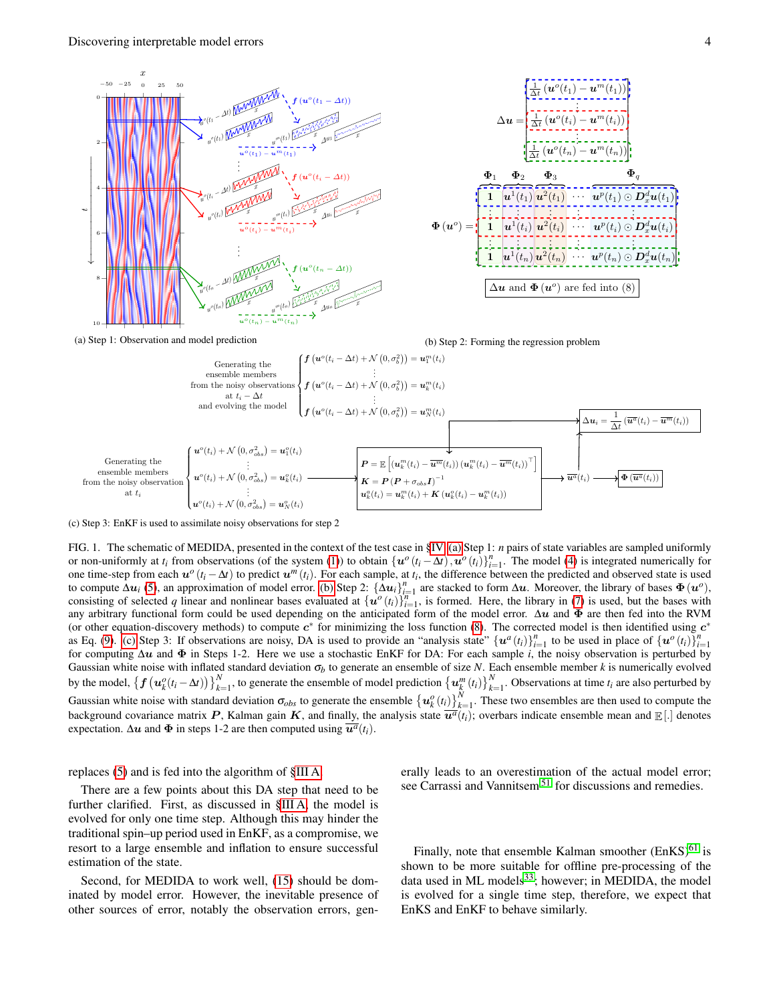<span id="page-3-1"></span>

<span id="page-3-2"></span>

(a) Step 1: Observation and model prediction

(b) Step 2: Forming the regression problem

<span id="page-3-3"></span>

(c) Step 3: EnKF is used to assimilate noisy observations for step 2

<span id="page-3-0"></span>FIG. 1. The schematic of MEDIDA, presented in the context of the test case in [§IV.](#page-4-0) [\(a\)](#page-3-1) Step 1: *n* pairs of state variables are sampled uniformly or non-uniformly at  $t_i$  from observations (of the system [\(1\)](#page-1-0)) to obtain  $\{u^o(t_i - \Delta t), u^o(t_i)\}_{i=1}^n$ . The model [\(4\)](#page-1-5) is integrated numerically for one time-step from each  $u^o(t_i - \Delta t)$  to predict  $u^m(t_i)$ . For each sample, at  $t_i$ , the difference between the predicted and observed state is used to compute  $\Delta u_i$  [\(5\)](#page-1-3), an approximation of model error. [\(b\)](#page-3-2) Step 2:  $\{\Delta u_i\}_{i=1}^n$  are stacked to form  $\Delta u$ . Moreover, the library of bases  $\Phi(u^o)$ , consisting of selected *q* linear and nonlinear bases evaluated at  $\{u^o(t_i)\}_{i=1}^n$ , is formed. Here, the library in [\(7\)](#page-2-4) is used, but the bases with any arbitrary functional form could be used depending on the anticipated form of the model error.  $\Delta u$  and  $\Phi$  are then fed into the RVM (or other equation-discovery methods) to compute  $c^*$  for minimizing the loss function [\(8\)](#page-2-2). The corrected model is then identified using  $c^*$ as Eq. [\(9\)](#page-2-3). [\(c\)](#page-3-3) Step 3: If observations are noisy, DA is used to provide an "analysis state"  $\{u^a(t_i)\}_{i=1}^n$  to be used in place of  $\{u^o(t_i)\}_{i=1}^n$ for computing ∆u and Φ in Steps 1-2. Here we use a stochastic EnKF for DA: For each sample *i*, the noisy observation is perturbed by Gaussian white noise with inflated standard deviation σ*<sup>b</sup>* to generate an ensemble of size *N*. Each ensemble member *k* is numerically evolved by the model,  $\{f(u_k^o(t_i - \Delta t))\}_{k=1}^N$ , to generate the ensemble of model prediction  $\{u_k^m(t_i)\}_{k=1}^N$ . Observations at time  $t_i$  are also perturbed by Gaussian white noise with standard deviation  $\sigma_{obs}$  to generate the ensemble  $\{u_k^o(t_i)\}_{k=1}^N$ . These two ensembles are then used to compute the background covariance matrix P, Kalman gain K, and finally, the analysis state  $\overline{u^a}(t_i)$ ; overbars indicate ensemble mean and  $\mathbb{E}[.]$  denotes expectation.  $\Delta u$  and  $\Phi$  in steps 1-2 are then computed using  $\overline{u^a}(t_i)$ .

# replaces [\(5\)](#page-1-3) and is fed into the algorithm of [§III A.](#page-1-2)

There are a few points about this DA step that need to be further clarified. First, as discussed in [§III A,](#page-1-2) the model is evolved for only one time step. Although this may hinder the traditional spin–up period used in EnKF, as a compromise, we resort to a large ensemble and inflation to ensure successful estimation of the state.

Second, for MEDIDA to work well, [\(15\)](#page-2-5) should be dominated by model error. However, the inevitable presence of other sources of error, notably the observation errors, generally leads to an overestimation of the actual model error; see Carrassi and Vannitsem<sup>[51](#page-7-12)</sup> for discussions and remedies.

Finally, note that ensemble Kalman smoother  $(EnKS)^{61}$  $(EnKS)^{61}$  $(EnKS)^{61}$  is shown to be more suitable for offline pre-processing of the data used in ML models $^{33}$  $^{33}$  $^{33}$ ; however; in MEDIDA, the model is evolved for a single time step, therefore, we expect that EnKS and EnKF to behave similarly.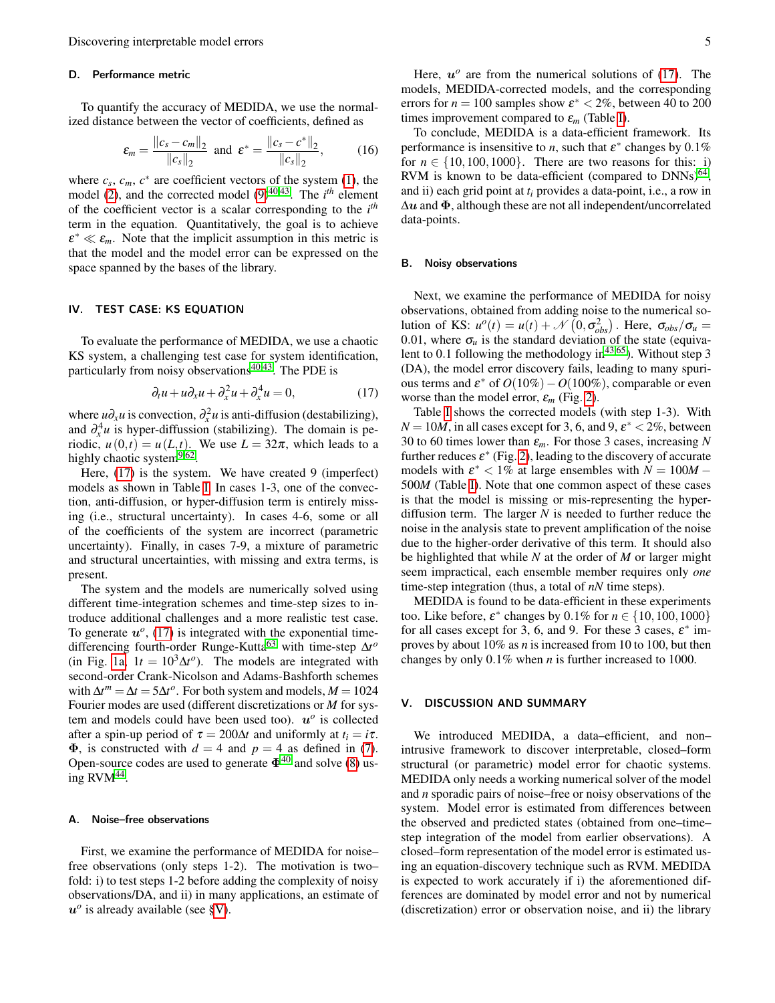# D. Performance metric

To quantify the accuracy of MEDIDA, we use the normalized distance between the vector of coefficients, defined as

<span id="page-4-3"></span>
$$
\varepsilon_m = \frac{\|c_s - c_m\|_2}{\|c_s\|_2} \text{ and } \varepsilon^* = \frac{\|c_s - c^*\|_2}{\|c_s\|_2},\qquad(16)
$$

where  $c_s$ ,  $c_m$ ,  $c^*$  are coefficient vectors of the system [\(1\)](#page-1-0), the model [\(2\)](#page-1-1), and the corrected model [\(9\)](#page-2-3)<sup>[40,](#page-7-4)[43](#page-7-6)</sup>. The *i*<sup>th</sup> element of the coefficient vector is a scalar corresponding to the *i th* term in the equation. Quantitatively, the goal is to achieve  $\varepsilon^* \ll \varepsilon_m$ . Note that the implicit assumption in this metric is that the model and the model error can be expressed on the space spanned by the bases of the library.

### <span id="page-4-0"></span>IV. TEST CASE: KS EQUATION

To evaluate the performance of MEDIDA, we use a chaotic KS system, a challenging test case for system identification, particularly from noisy observations $40,43$  $40,43$ . The PDE is

<span id="page-4-1"></span>
$$
\partial_t u + u \partial_x u + \partial_x^2 u + \partial_x^4 u = 0, \qquad (17)
$$

where  $\mu \partial_x u$  is convection,  $\partial_x^2 u$  is anti-diffusion (destabilizing), and  $\partial_x^4 u$  is hyper-diffussion (stabilizing). The domain is periodic,  $u(0,t) = u(L,t)$ . We use  $L = 32\pi$ , which leads to a highly chaotic system<sup>[9](#page-6-7)[,62](#page-7-27)</sup>.

Here, [\(17\)](#page-4-1) is the system. We have created 9 (imperfect) models as shown in Table [I.](#page-5-0) In cases 1-3, one of the convection, anti-diffusion, or hyper-diffusion term is entirely missing (i.e., structural uncertainty). In cases 4-6, some or all of the coefficients of the system are incorrect (parametric uncertainty). Finally, in cases 7-9, a mixture of parametric and structural uncertainties, with missing and extra terms, is present.

The system and the models are numerically solved using different time-integration schemes and time-step sizes to introduce additional challenges and a more realistic test case. To generate  $u^{\circ}$ , [\(17\)](#page-4-1) is integrated with the exponential timedifferencing fourth-order Runge-Kutta[63](#page-7-28) with time-step ∆*t o* (in Fig. [1a,](#page-3-1)  $1t = 10^3 \Delta t^o$ ). The models are integrated with second-order Crank-Nicolson and Adams-Bashforth schemes with  $\Delta t^m = \Delta t = 5\Delta t^o$ . For both system and models,  $M = 1024$ Fourier modes are used (different discretizations or *M* for system and models could have been used too).  $u^{\circ}$  is collected after a spin-up period of  $\tau = 200\Delta t$  and uniformly at  $t_i = i\tau$ .  $\Phi$ , is constructed with  $d = 4$  and  $p = 4$  as defined in [\(7\)](#page-2-4). Open-source codes are used to generate  $\Phi^{40}$  $\Phi^{40}$  $\Phi^{40}$  and solve [\(8\)](#page-2-2) using  $RVM^{44}$  $RVM^{44}$  $RVM^{44}$ .

#### A. Noise–free observations

First, we examine the performance of MEDIDA for noise– free observations (only steps 1-2). The motivation is two– fold: i) to test steps 1-2 before adding the complexity of noisy observations/DA, and ii) in many applications, an estimate of  $u^o$  is already available (see [§V\)](#page-4-2).

Here,  $u^{\circ}$  are from the numerical solutions of [\(17\)](#page-4-1). The models, MEDIDA-corrected models, and the corresponding errors for  $n = 100$  samples show  $\varepsilon^* < 2\%$ , between 40 to 200 times improvement compared to  $\varepsilon_m$  (Table [I\)](#page-5-0).

To conclude, MEDIDA is a data-efficient framework. Its performance is insensitive to *n*, such that  $\varepsilon^*$  changes by 0.1% for  $n \in \{10,100,1000\}$ . There are two reasons for this: i) RVM is known to be data-efficient (compared to  $DNNs)^{64}$  $DNNs)^{64}$  $DNNs)^{64}$ , and ii) each grid point at *t<sup>i</sup>* provides a data-point, i.e., a row in  $\Delta u$  and  $\Phi$ , although these are not all independent/uncorrelated data-points.

# B. Noisy observations

Next, we examine the performance of MEDIDA for noisy observations, obtained from adding noise to the numerical solution of KS:  $u^o(t) = u(t) + \mathcal{N}(0, \sigma_{obs}^2)$ . Here,  $\sigma_{obs}/\sigma_u =$ 0.01, where  $\sigma_u$  is the standard deviation of the state (equivalent to 0.1 following the methodology in  $43,65$  $43,65$ ). Without step 3 (DA), the model error discovery fails, leading to many spurious terms and  $\varepsilon^*$  of  $O(10\%) - O(100\%)$ , comparable or even worse than the model error,  $\varepsilon_m$  (Fig. [2\)](#page-5-1).

Table [I](#page-5-0) shows the corrected models (with step 1-3). With  $N = 10M$ , in all cases except for 3, 6, and 9,  $\varepsilon^* < 2\%$ , between 30 to 60 times lower than ε*m*. For those 3 cases, increasing *N* further reduces  $\varepsilon^*$  (Fig. [2\)](#page-5-1), leading to the discovery of accurate models with  $\varepsilon^* < 1\%$  at large ensembles with  $N = 100M -$ 500*M* (Table [I\)](#page-5-0). Note that one common aspect of these cases is that the model is missing or mis-representing the hyperdiffusion term. The larger *N* is needed to further reduce the noise in the analysis state to prevent amplification of the noise due to the higher-order derivative of this term. It should also be highlighted that while *N* at the order of *M* or larger might seem impractical, each ensemble member requires only *one* time-step integration (thus, a total of *nN* time steps).

MEDIDA is found to be data-efficient in these experiments too. Like before,  $\varepsilon^*$  changes by  $0.1\%$  for  $n \in \{10, 100, 1000\}$ for all cases except for 3, 6, and 9. For these 3 cases,  $\varepsilon^*$  improves by about 10% as *n* is increased from 10 to 100, but then changes by only 0.1% when *n* is further increased to 1000.

## <span id="page-4-2"></span>V. DISCUSSION AND SUMMARY

We introduced MEDIDA, a data–efficient, and non– intrusive framework to discover interpretable, closed–form structural (or parametric) model error for chaotic systems. MEDIDA only needs a working numerical solver of the model and *n* sporadic pairs of noise–free or noisy observations of the system. Model error is estimated from differences between the observed and predicted states (obtained from one–time– step integration of the model from earlier observations). A closed–form representation of the model error is estimated using an equation-discovery technique such as RVM. MEDIDA is expected to work accurately if i) the aforementioned differences are dominated by model error and not by numerical (discretization) error or observation noise, and ii) the library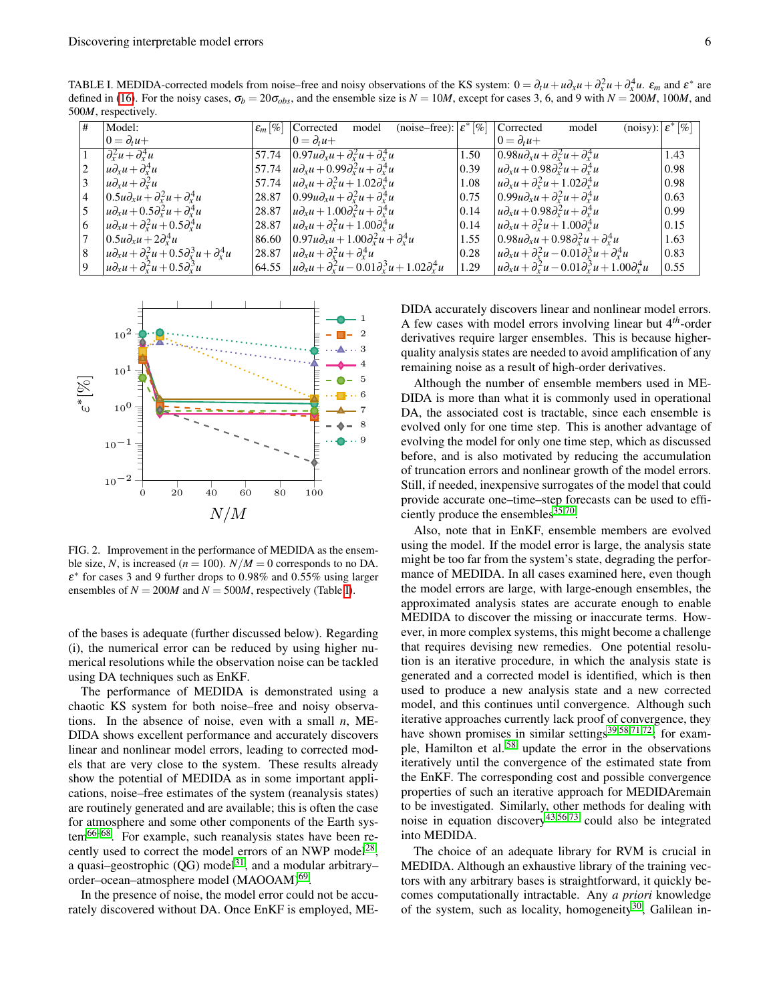8  $u\partial_x u + \partial_x^2 u + 0.5\partial_x^3 u + \partial_x^4$ 

9  $u\partial_x u + \partial_x^2 u + 0.5\partial_x^3$ 

500*M*, respectively. Model:  $0 = \partial_t u +$  $\varepsilon_m$  [%] Corrected model (noise–free):  $\varepsilon^*$  $0 = \partial_t u +$ Corrected model  $0 = \partial_t u +$  $\varepsilon^* [\%]$ 1  $\partial_x^2 u + \partial_x^4$  $\int 57.74 \left[ 0.97u \partial_x u + \partial_x^2 u + \partial_x^4 u \right]$  $\frac{d^4x}{dx^4}$  1.50 0.98*u* $\partial_x u + \partial_x^2 u + \partial_x^4$ *<sup>x</sup> u* 1.43 2  $|u\partial_x u + \partial_x^4$  $\int_{x}^{4} u$  57.74 *u* $\partial_{x} u + 0.99 \partial_{x}^{2} u + \partial_{x}^{4}$  $\int_{x}^{4} u$  0.39 *u*∂<sub>*x*</sub>*u*+0.98∂<sup>2</sup><sub>*x</sub>u*+∂<sup>4</sup><sub>*x*</sup></sup></sub></sub> *<sup>x</sup> u* 0.98 3  $u\partial_x u + \partial_x^2$  $\int 57.74 \, u \, du + \partial_x^2 u + 1.02 \partial_x^4$  $\int_{x}^{4} u$  1.08 *u*∂<sub>*x*</sub>*u*+∂<sup>2</sup><sub>*x*</sub><sup>*u*</sup>+1.02∂<sup>4</sup><sub>*x*</sub><sup>4</sup> *<sup>x</sup> u* 0.98 4  $\left| 0.5u\partial_x u + \partial_x^2 u + \partial_x^4 u\right|$  $\int_{x}^{4} u$  28.87  $\int_{0}^{4} 0.99 u \partial_{x} u + \partial_{x}^{2} u + \partial_{x}^{4} u$  $\int_{x}^{4} u$  0.75  $\int 0.99 u \partial_x u + \partial_x^2 u + \partial_x^4 u$ 0.63 5  $u\partial_x u + 0.5\partial_x^2 u + \partial_x^4$  $\int_{x}^{4} u$  28.87 *u* $\partial_x u + 1.00 \partial_x^2 u + \partial_x^4$  $\begin{vmatrix} 0.14 & |u \partial_x u + 0.98 \partial_x^2 u + \partial_x^4 u \end{vmatrix}$ *<sup>x</sup> u* 0.99 6  $\left| u \partial_x u + \partial_x^2 u + 0.5 \partial_x^4 u \right|$  $\int_{x}^{4} u$  28.87 *u* $\partial_{x} u + \partial_{x}^{2} u + 1.00 \partial_{x}^{4}$  $\int_{x}^{4} u$  0.14 *u*∂<sub>*x*</sub>*u*+∂<sup>2</sup><sub>*x*</sub><sup>*u*</sup>+1.00∂<sup>4</sup><sup>2</sup><sub>*x*</sub> *<sup>x</sup> u* 0.15  $7 \quad |0.5u\partial_xu+2\partial_x^4$  $\begin{cases} 4u & | & 86.60 & | & 0.97u\partial_xu + 1.00\partial_x^2u + \partial_x^4u \end{cases}$  $\int_{x}^{4} u$  1.55  $\left[0.98u\partial_{x}u + 0.98\partial_{x}^{2}u + \partial_{x}^{4}\right]$ *<sup>x</sup> u* 1.63

<span id="page-5-0"></span>TABLE I. MEDIDA-corrected models from noise–free and noisy observations of the KS system:  $0 = \partial_t u + u \partial_x u + \partial_x^2 u + \partial_x^4 u$ .  $\varepsilon_m$  and  $\varepsilon^*$  are defined in [\(16\)](#page-4-3). For the noisy cases,  $\sigma_b = 20\sigma_{obs}$ , and the ensemble size is  $N = 10M$ , except for cases 3, 6, and 9 with  $N = 200M$ , 100*M*, and



 $\int_{x}^{4} u$  28.87 *u* $\partial_{x} u + \partial_{x}^{2} u + \partial_{x}^{4}$ 

 $\int_0^3 u$  64.55 *u*∂<sub>*x*</sub>*u*+ $\partial_x^2 u$  − 0.01 $\partial_x^3 u$  + 1.02 $\partial_x^4$ 

<span id="page-5-1"></span>FIG. 2. Improvement in the performance of MEDIDA as the ensemble size, *N*, is increased ( $n = 100$ ).  $N/M = 0$  corresponds to no DA.  $\varepsilon^*$  for cases 3 and 9 further drops to 0.98% and 0.55% using larger ensembles of  $N = 200M$  and  $N = 500M$ , respectively (Table [I\)](#page-5-0).

of the bases is adequate (further discussed below). Regarding (i), the numerical error can be reduced by using higher numerical resolutions while the observation noise can be tackled using DA techniques such as EnKF.

The performance of MEDIDA is demonstrated using a chaotic KS system for both noise–free and noisy observations. In the absence of noise, even with a small *n*, ME-DIDA shows excellent performance and accurately discovers linear and nonlinear model errors, leading to corrected models that are very close to the system. These results already show the potential of MEDIDA as in some important applications, noise–free estimates of the system (reanalysis states) are routinely generated and are available; this is often the case for atmosphere and some other components of the Earth sys-tem<sup>[66](#page-7-31)[–68](#page-7-32)</sup>. For example, such reanalysis states have been re-cently used to correct the model errors of an NWP model<sup>[28](#page-6-16)</sup>, a quasi–geostrophic  $(QG)$  model<sup>[31](#page-6-15)</sup>, and a modular arbitrary– order-ocean-atmosphere model (MAOOAM)<sup>[69](#page-7-33)</sup>.

In the presence of noise, the model error could not be accurately discovered without DA. Once EnKF is employed, ME- DIDA accurately discovers linear and nonlinear model errors. A few cases with model errors involving linear but 4*th*-order derivatives require larger ensembles. This is because higherquality analysis states are needed to avoid amplification of any remaining noise as a result of high-order derivatives.

 $u_x^4 u$  | 1.29 |  $u \partial_x u + \partial_x^2 u - 0.01 \partial_x^3 u + 1.00 \partial_x^4$ 

 $\begin{cases} 0.28 & u\partial_x u + \partial_x^2 u - 0.01 \partial_x^3 u + \partial_x^4 u \end{cases}$ 

Although the number of ensemble members used in ME-DIDA is more than what it is commonly used in operational DA, the associated cost is tractable, since each ensemble is evolved only for one time step. This is another advantage of evolving the model for only one time step, which as discussed before, and is also motivated by reducing the accumulation of truncation errors and nonlinear growth of the model errors. Still, if needed, inexpensive surrogates of the model that could provide accurate one–time–step forecasts can be used to efficiently produce the ensembles $^{35,70}$  $^{35,70}$  $^{35,70}$  $^{35,70}$ .

Also, note that in EnKF, ensemble members are evolved using the model. If the model error is large, the analysis state might be too far from the system's state, degrading the performance of MEDIDA. In all cases examined here, even though the model errors are large, with large-enough ensembles, the approximated analysis states are accurate enough to enable MEDIDA to discover the missing or inaccurate terms. However, in more complex systems, this might become a challenge that requires devising new remedies. One potential resolution is an iterative procedure, in which the analysis state is generated and a corrected model is identified, which is then used to produce a new analysis state and a new corrected model, and this continues until convergence. Although such iterative approaches currently lack proof of convergence, they have shown promises in similar settings<sup>[39,](#page-7-3)[58,](#page-7-22)[71,](#page-7-36)[72](#page-7-37)</sup>; for example, Hamilton et al. [58](#page-7-22) update the error in the observations iteratively until the convergence of the estimated state from the EnKF. The corresponding cost and possible convergence properties of such an iterative approach for MEDIDAremain to be investigated. Similarly, other methods for dealing with noise in equation discovery<sup>[43,](#page-7-6)[56,](#page-7-20)[73](#page-7-38)</sup> could also be integrated into MEDIDA.

The choice of an adequate library for RVM is crucial in MEDIDA. Although an exhaustive library of the training vectors with any arbitrary bases is straightforward, it quickly becomes computationally intractable. Any *a priori* knowledge of the system, such as locality, homogeneity<sup>[30](#page-6-13)</sup>, Galilean in-

0.83

 $0.55$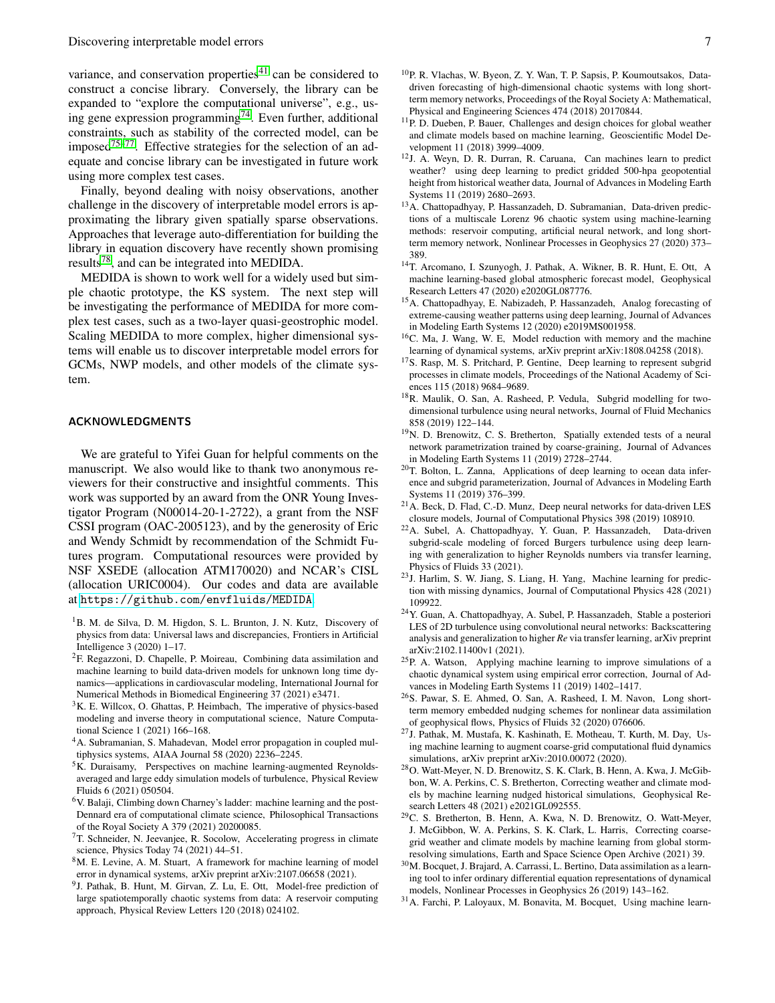variance, and conservation properties<sup>[41](#page-7-14)</sup> can be considered to construct a concise library. Conversely, the library can be expanded to "explore the computational universe", e.g., using gene expression programming[74](#page-7-39). Even further, additional constraints, such as stability of the corrected model, can be imposed<sup>[75–](#page-7-40)[77](#page-8-0)</sup>. Effective strategies for the selection of an adequate and concise library can be investigated in future work using more complex test cases.

Finally, beyond dealing with noisy observations, another challenge in the discovery of interpretable model errors is approximating the library given spatially sparse observations. Approaches that leverage auto-differentiation for building the library in equation discovery have recently shown promising results[78](#page-8-1), and can be integrated into MEDIDA.

MEDIDA is shown to work well for a widely used but simple chaotic prototype, the KS system. The next step will be investigating the performance of MEDIDA for more complex test cases, such as a two-layer quasi-geostrophic model. Scaling MEDIDA to more complex, higher dimensional systems will enable us to discover interpretable model errors for GCMs, NWP models, and other models of the climate system.

## ACKNOWLEDGMENTS

We are grateful to Yifei Guan for helpful comments on the manuscript. We also would like to thank two anonymous reviewers for their constructive and insightful comments. This work was supported by an award from the ONR Young Investigator Program (N00014-20-1-2722), a grant from the NSF CSSI program (OAC-2005123), and by the generosity of Eric and Wendy Schmidt by recommendation of the Schmidt Futures program. Computational resources were provided by NSF XSEDE (allocation ATM170020) and NCAR's CISL (allocation URIC0004). Our codes and data are available at <https://github.com/envfluids/MEDIDA>.

- <span id="page-6-0"></span><sup>1</sup>B. M. de Silva, D. M. Higdon, S. L. Brunton, J. N. Kutz, Discovery of physics from data: Universal laws and discrepancies, Frontiers in Artificial Intelligence 3 (2020) 1–17.
- <sup>2</sup>F. Regazzoni, D. Chapelle, P. Moireau, Combining data assimilation and machine learning to build data-driven models for unknown long time dynamics—applications in cardiovascular modeling, International Journal for Numerical Methods in Biomedical Engineering 37 (2021) e3471.
- <span id="page-6-1"></span> $3K$ . E. Willcox, O. Ghattas, P. Heimbach, The imperative of physics-based modeling and inverse theory in computational science, Nature Computational Science 1 (2021) 166–168.
- <span id="page-6-2"></span><sup>4</sup>A. Subramanian, S. Mahadevan, Model error propagation in coupled multiphysics systems, AIAA Journal 58 (2020) 2236–2245.
- <span id="page-6-3"></span><sup>5</sup>K. Duraisamy, Perspectives on machine learning-augmented Reynoldsaveraged and large eddy simulation models of turbulence, Physical Review Fluids 6 (2021) 050504.
- <span id="page-6-4"></span> $6V$ . Balaji, Climbing down Charney's ladder: machine learning and the post-Dennard era of computational climate science, Philosophical Transactions of the Royal Society A 379 (2021) 20200085.
- <span id="page-6-5"></span> $7T$ . Schneider, N. Jeevanjee, R. Socolow, Accelerating progress in climate science, Physics Today 74 (2021) 44–51.
- <span id="page-6-6"></span> $8M$ . E. Levine, A. M. Stuart, A framework for machine learning of model error in dynamical systems, arXiv preprint arXiv:2107.06658 (2021).
- <span id="page-6-7"></span><sup>9</sup>J. Pathak, B. Hunt, M. Girvan, Z. Lu, E. Ott, Model-free prediction of large spatiotemporally chaotic systems from data: A reservoir computing approach, Physical Review Letters 120 (2018) 024102.
- <sup>10</sup>P. R. Vlachas, W. Byeon, Z. Y. Wan, T. P. Sapsis, P. Koumoutsakos, Datadriven forecasting of high-dimensional chaotic systems with long shortterm memory networks, Proceedings of the Royal Society A: Mathematical, Physical and Engineering Sciences 474 (2018) 20170844.
- <sup>11</sup>P. D. Dueben, P. Bauer, Challenges and design choices for global weather and climate models based on machine learning, Geoscientific Model Development 11 (2018) 3999–4009.
- <sup>12</sup>J. A. Weyn, D. R. Durran, R. Caruana, Can machines learn to predict weather? using deep learning to predict gridded 500-hpa geopotential height from historical weather data, Journal of Advances in Modeling Earth Systems 11 (2019) 2680–2693.
- <sup>13</sup>A. Chattopadhyay, P. Hassanzadeh, D. Subramanian, Data-driven predictions of a multiscale Lorenz 96 chaotic system using machine-learning methods: reservoir computing, artificial neural network, and long shortterm memory network, Nonlinear Processes in Geophysics 27 (2020) 373– 389.
- <sup>14</sup>T. Arcomano, I. Szunyogh, J. Pathak, A. Wikner, B. R. Hunt, E. Ott, A machine learning-based global atmospheric forecast model, Geophysical Research Letters 47 (2020) e2020GL087776.
- <span id="page-6-8"></span><sup>15</sup>A. Chattopadhyay, E. Nabizadeh, P. Hassanzadeh, Analog forecasting of extreme-causing weather patterns using deep learning, Journal of Advances in Modeling Earth Systems 12 (2020) e2019MS001958.
- <span id="page-6-9"></span><sup>16</sup>C. Ma, J. Wang, W. E, Model reduction with memory and the machine learning of dynamical systems, arXiv preprint arXiv:1808.04258 (2018).
- <span id="page-6-14"></span><sup>17</sup>S. Rasp, M. S. Pritchard, P. Gentine, Deep learning to represent subgrid processes in climate models, Proceedings of the National Academy of Sciences 115 (2018) 9684–9689.
- <sup>18</sup>R. Maulik, O. San, A. Rasheed, P. Vedula, Subgrid modelling for twodimensional turbulence using neural networks, Journal of Fluid Mechanics 858 (2019) 122–144.
- <sup>19</sup>N. D. Brenowitz, C. S. Bretherton, Spatially extended tests of a neural network parametrization trained by coarse-graining, Journal of Advances in Modeling Earth Systems 11 (2019) 2728–2744.
- <sup>20</sup>T. Bolton, L. Zanna, Applications of deep learning to ocean data inference and subgrid parameterization, Journal of Advances in Modeling Earth Systems 11 (2019) 376–399.
- <sup>21</sup>A. Beck, D. Flad, C.-D. Munz, Deep neural networks for data-driven LES closure models, Journal of Computational Physics 398 (2019) 108910.
- <sup>22</sup>A. Subel, A. Chattopadhyay, Y. Guan, P. Hassanzadeh, Data-driven subgrid-scale modeling of forced Burgers turbulence using deep learning with generalization to higher Reynolds numbers via transfer learning, Physics of Fluids 33 (2021).
- <sup>23</sup>J. Harlim, S. W. Jiang, S. Liang, H. Yang, Machine learning for prediction with missing dynamics, Journal of Computational Physics 428 (2021) 109922.
- <span id="page-6-10"></span><sup>24</sup>Y. Guan, A. Chattopadhyay, A. Subel, P. Hassanzadeh, Stable a posteriori LES of 2D turbulence using convolutional neural networks: Backscattering analysis and generalization to higher *Re* via transfer learning, arXiv preprint arXiv:2102.11400v1 (2021).
- <span id="page-6-11"></span><sup>25</sup>P. A. Watson, Applying machine learning to improve simulations of a chaotic dynamical system using empirical error correction, Journal of Advances in Modeling Earth Systems 11 (2019) 1402–1417.
- <sup>26</sup>S. Pawar, S. E. Ahmed, O. San, A. Rasheed, I. M. Navon, Long shortterm memory embedded nudging schemes for nonlinear data assimilation of geophysical flows, Physics of Fluids 32 (2020) 076606.
- <sup>27</sup>J. Pathak, M. Mustafa, K. Kashinath, E. Motheau, T. Kurth, M. Day, Using machine learning to augment coarse-grid computational fluid dynamics simulations, arXiv preprint arXiv:2010.00072 (2020).
- <span id="page-6-16"></span><sup>28</sup>O. Watt-Meyer, N. D. Brenowitz, S. K. Clark, B. Henn, A. Kwa, J. McGibbon, W. A. Perkins, C. S. Bretherton, Correcting weather and climate models by machine learning nudged historical simulations, Geophysical Research Letters 48 (2021) e2021GL092555.
- <span id="page-6-12"></span><sup>29</sup>C. S. Bretherton, B. Henn, A. Kwa, N. D. Brenowitz, O. Watt-Meyer, J. McGibbon, W. A. Perkins, S. K. Clark, L. Harris, Correcting coarsegrid weather and climate models by machine learning from global stormresolving simulations, Earth and Space Science Open Archive (2021) 39.
- <span id="page-6-13"></span><sup>30</sup>M. Bocquet, J. Brajard, A. Carrassi, L. Bertino, Data assimilation as a learning tool to infer ordinary differential equation representations of dynamical models, Nonlinear Processes in Geophysics 26 (2019) 143–162.
- <span id="page-6-15"></span><sup>31</sup>A. Farchi, P. Laloyaux, M. Bonavita, M. Bocquet, Using machine learn-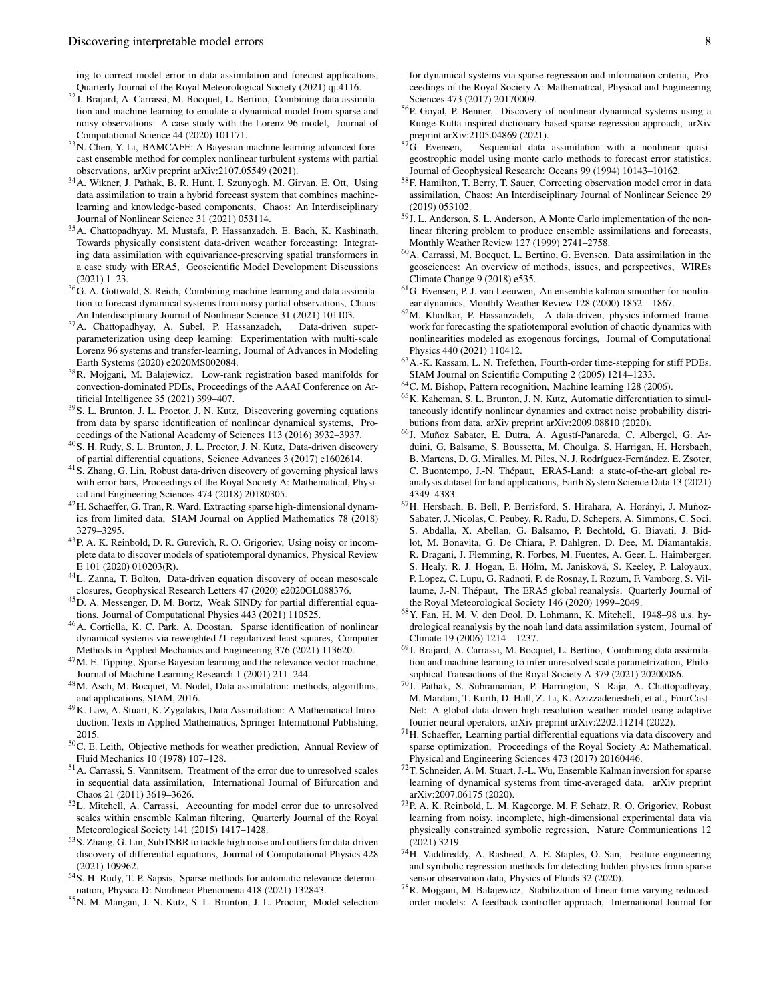ing to correct model error in data assimilation and forecast applications, Quarterly Journal of the Royal Meteorological Society (2021) qj.4116.

- <sup>32</sup>J. Brajard, A. Carrassi, M. Bocquet, L. Bertino, Combining data assimilation and machine learning to emulate a dynamical model from sparse and noisy observations: A case study with the Lorenz 96 model, Journal of Computational Science 44 (2020) 101171.
- <span id="page-7-26"></span><sup>33</sup>N. Chen, Y. Li, BAMCAFE: A Bayesian machine learning advanced forecast ensemble method for complex nonlinear turbulent systems with partial observations, arXiv preprint arXiv:2107.05549 (2021).
- <sup>34</sup>A. Wikner, J. Pathak, B. R. Hunt, I. Szunyogh, M. Girvan, E. Ott, Using data assimilation to train a hybrid forecast system that combines machinelearning and knowledge-based components, Chaos: An Interdisciplinary Journal of Nonlinear Science 31 (2021) 053114.
- <span id="page-7-34"></span><sup>35</sup>A. Chattopadhyay, M. Mustafa, P. Hassanzadeh, E. Bach, K. Kashinath, Towards physically consistent data-driven weather forecasting: Integrating data assimilation with equivariance-preserving spatial transformers in a case study with ERA5, Geoscientific Model Development Discussions (2021) 1–23.
- <span id="page-7-0"></span><sup>36</sup>G. A. Gottwald, S. Reich, Combining machine learning and data assimilation to forecast dynamical systems from noisy partial observations, Chaos: An Interdisciplinary Journal of Nonlinear Science 31 (2021) 101103.
- <span id="page-7-1"></span><sup>37</sup>A. Chattopadhyay, A. Subel, P. Hassanzadeh, Data-driven superparameterization using deep learning: Experimentation with multi-scale Lorenz 96 systems and transfer-learning, Journal of Advances in Modeling Earth Systems (2020) e2020MS002084.
- <span id="page-7-2"></span>38R. Mojgani, M. Balajewicz, Low-rank registration based manifolds for convection-dominated PDEs, Proceedings of the AAAI Conference on Artificial Intelligence 35 (2021) 399–407.
- <span id="page-7-3"></span><sup>39</sup>S. L. Brunton, J. L. Proctor, J. N. Kutz, Discovering governing equations from data by sparse identification of nonlinear dynamical systems, Proceedings of the National Academy of Sciences 113 (2016) 3932–3937.
- <span id="page-7-4"></span><sup>40</sup>S. H. Rudy, S. L. Brunton, J. L. Proctor, J. N. Kutz, Data-driven discovery of partial differential equations, Science Advances 3 (2017) e1602614.
- <span id="page-7-14"></span><sup>41</sup>S. Zhang, G. Lin, Robust data-driven discovery of governing physical laws with error bars, Proceedings of the Royal Society A: Mathematical, Physical and Engineering Sciences 474 (2018) 20180305.
- <span id="page-7-19"></span><sup>42</sup>H. Schaeffer, G. Tran, R. Ward, Extracting sparse high-dimensional dynamics from limited data, SIAM Journal on Applied Mathematics 78 (2018) 3279–3295.
- <span id="page-7-6"></span><sup>43</sup>P. A. K. Reinbold, D. R. Gurevich, R. O. Grigoriev, Using noisy or incomplete data to discover models of spatiotemporal dynamics, Physical Review E 101 (2020) 010203(R).
- <span id="page-7-16"></span><sup>44</sup>L. Zanna, T. Bolton, Data-driven equation discovery of ocean mesoscale closures, Geophysical Research Letters 47 (2020) e2020GL088376.
- <span id="page-7-7"></span><sup>45</sup>D. A. Messenger, D. M. Bortz, Weak SINDy for partial differential equations, Journal of Computational Physics 443 (2021) 110525.
- <span id="page-7-5"></span><sup>46</sup>A. Cortiella, K. C. Park, A. Doostan, Sparse identification of nonlinear dynamical systems via reweighted *l*1-regularized least squares, Computer Methods in Applied Mechanics and Engineering 376 (2021) 113620.
- <span id="page-7-8"></span><sup>47</sup>M. E. Tipping, Sparse Bayesian learning and the relevance vector machine, Journal of Machine Learning Research 1 (2001) 211–244.
- <span id="page-7-9"></span><sup>48</sup>M. Asch, M. Bocquet, M. Nodet, Data assimilation: methods, algorithms, and applications, SIAM, 2016.
- <span id="page-7-10"></span><sup>49</sup>K. Law, A. Stuart, K. Zygalakis, Data Assimilation: A Mathematical Introduction, Texts in Applied Mathematics, Springer International Publishing, 2015.
- <span id="page-7-11"></span><sup>50</sup>C. E. Leith, Objective methods for weather prediction, Annual Review of Fluid Mechanics 10 (1978) 107–128.
- <span id="page-7-12"></span><sup>51</sup>A. Carrassi, S. Vannitsem, Treatment of the error due to unresolved scales in sequential data assimilation, International Journal of Bifurcation and Chaos 21 (2011) 3619–3626.
- <span id="page-7-13"></span><sup>52</sup>L. Mitchell, A. Carrassi, Accounting for model error due to unresolved scales within ensemble Kalman filtering, Quarterly Journal of the Royal Meteorological Society 141 (2015) 1417–1428.
- <span id="page-7-15"></span><sup>53</sup>S. Zhang, G. Lin, SubTSBR to tackle high noise and outliers for data-driven discovery of differential equations, Journal of Computational Physics 428 (2021) 109962.
- <span id="page-7-17"></span><sup>54</sup>S. H. Rudy, T. P. Sapsis, Sparse methods for automatic relevance determination, Physica D: Nonlinear Phenomena 418 (2021) 132843.
- <span id="page-7-18"></span><sup>55</sup>N. M. Mangan, J. N. Kutz, S. L. Brunton, J. L. Proctor, Model selection

for dynamical systems via sparse regression and information criteria, Proceedings of the Royal Society A: Mathematical, Physical and Engineering Sciences 473 (2017) 20170009.

- <span id="page-7-20"></span><sup>56</sup>P. Goyal, P. Benner, Discovery of nonlinear dynamical systems using a Runge-Kutta inspired dictionary-based sparse regression approach, arXiv preprint arXiv:2105.04869 (2021).<br><sup>57</sup>G. Evensen, Sequential data
- <span id="page-7-21"></span>Sequential data assimilation with a nonlinear quasigeostrophic model using monte carlo methods to forecast error statistics, Journal of Geophysical Research: Oceans 99 (1994) 10143–10162.
- <span id="page-7-22"></span><sup>58</sup>F. Hamilton, T. Berry, T. Sauer, Correcting observation model error in data assimilation, Chaos: An Interdisciplinary Journal of Nonlinear Science 29 (2019) 053102.
- <span id="page-7-23"></span><sup>59</sup>J. L. Anderson, S. L. Anderson, A Monte Carlo implementation of the nonlinear filtering problem to produce ensemble assimilations and forecasts, Monthly Weather Review 127 (1999) 2741–2758.
- <span id="page-7-24"></span><sup>60</sup>A. Carrassi, M. Bocquet, L. Bertino, G. Evensen, Data assimilation in the geosciences: An overview of methods, issues, and perspectives, WIREs Climate Change 9 (2018) e535.
- <span id="page-7-25"></span><sup>61</sup>G. Evensen, P. J. van Leeuwen, An ensemble kalman smoother for nonlinear dynamics, Monthly Weather Review 128 (2000) 1852 – 1867.
- <span id="page-7-27"></span><sup>62</sup>M. Khodkar, P. Hassanzadeh, A data-driven, physics-informed framework for forecasting the spatiotemporal evolution of chaotic dynamics with nonlinearities modeled as exogenous forcings, Journal of Computational Physics 440 (2021) 110412.
- <span id="page-7-28"></span><sup>63</sup>A.-K. Kassam, L. N. Trefethen, Fourth-order time-stepping for stiff PDEs, SIAM Journal on Scientific Computing 2 (2005) 1214–1233.
- <span id="page-7-29"></span><sup>64</sup>C. M. Bishop, Pattern recognition, Machine learning 128 (2006).
- <span id="page-7-30"></span><sup>65</sup>K. Kaheman, S. L. Brunton, J. N. Kutz, Automatic differentiation to simultaneously identify nonlinear dynamics and extract noise probability distributions from data, arXiv preprint arXiv:2009.08810 (2020).
- <span id="page-7-31"></span><sup>66</sup>J. Muñoz Sabater, E. Dutra, A. Agustí-Panareda, C. Albergel, G. Arduini, G. Balsamo, S. Boussetta, M. Choulga, S. Harrigan, H. Hersbach, B. Martens, D. G. Miralles, M. Piles, N. J. Rodríguez-Fernández, E. Zsoter, C. Buontempo, J.-N. Thépaut, ERA5-Land: a state-of-the-art global reanalysis dataset for land applications, Earth System Science Data 13 (2021) 4349–4383.
- <sup>67</sup>H. Hersbach, B. Bell, P. Berrisford, S. Hirahara, A. Horányi, J. Muñoz-Sabater, J. Nicolas, C. Peubey, R. Radu, D. Schepers, A. Simmons, C. Soci, S. Abdalla, X. Abellan, G. Balsamo, P. Bechtold, G. Biavati, J. Bidlot, M. Bonavita, G. De Chiara, P. Dahlgren, D. Dee, M. Diamantakis, R. Dragani, J. Flemming, R. Forbes, M. Fuentes, A. Geer, L. Haimberger, S. Healy, R. J. Hogan, E. Hólm, M. Janisková, S. Keeley, P. Laloyaux, P. Lopez, C. Lupu, G. Radnoti, P. de Rosnay, I. Rozum, F. Vamborg, S. Villaume, J.-N. Thépaut, The ERA5 global reanalysis, Quarterly Journal of the Royal Meteorological Society 146 (2020) 1999–2049.
- <span id="page-7-32"></span><sup>68</sup>Y. Fan, H. M. V. den Dool, D. Lohmann, K. Mitchell, 1948–98 u.s. hydrological reanalysis by the noah land data assimilation system, Journal of Climate 19 (2006) 1214 – 1237.
- <span id="page-7-33"></span><sup>69</sup>J. Brajard, A. Carrassi, M. Bocquet, L. Bertino, Combining data assimilation and machine learning to infer unresolved scale parametrization, Philosophical Transactions of the Royal Society A 379 (2021) 20200086.
- <span id="page-7-35"></span><sup>70</sup>J. Pathak, S. Subramanian, P. Harrington, S. Raja, A. Chattopadhyay, M. Mardani, T. Kurth, D. Hall, Z. Li, K. Azizzadenesheli, et al., FourCast-Net: A global data-driven high-resolution weather model using adaptive fourier neural operators, arXiv preprint arXiv:2202.11214 (2022).
- <span id="page-7-36"></span><sup>71</sup>H. Schaeffer, Learning partial differential equations via data discovery and sparse optimization, Proceedings of the Royal Society A: Mathematical, Physical and Engineering Sciences 473 (2017) 20160446.
- <span id="page-7-37"></span><sup>72</sup>T. Schneider, A. M. Stuart, J.-L. Wu, Ensemble Kalman inversion for sparse learning of dynamical systems from time-averaged data, arXiv preprint arXiv:2007.06175 (2020).
- <span id="page-7-38"></span><sup>73</sup>P. A. K. Reinbold, L. M. Kageorge, M. F. Schatz, R. O. Grigoriev, Robust learning from noisy, incomplete, high-dimensional experimental data via physically constrained symbolic regression, Nature Communications 12 (2021) 3219.
- <span id="page-7-39"></span><sup>74</sup>H. Vaddireddy, A. Rasheed, A. E. Staples, O. San, Feature engineering and symbolic regression methods for detecting hidden physics from sparse sensor observation data, Physics of Fluids 32 (2020).
- <span id="page-7-40"></span><sup>75</sup>R. Mojgani, M. Balajewicz, Stabilization of linear time-varying reducedorder models: A feedback controller approach, International Journal for